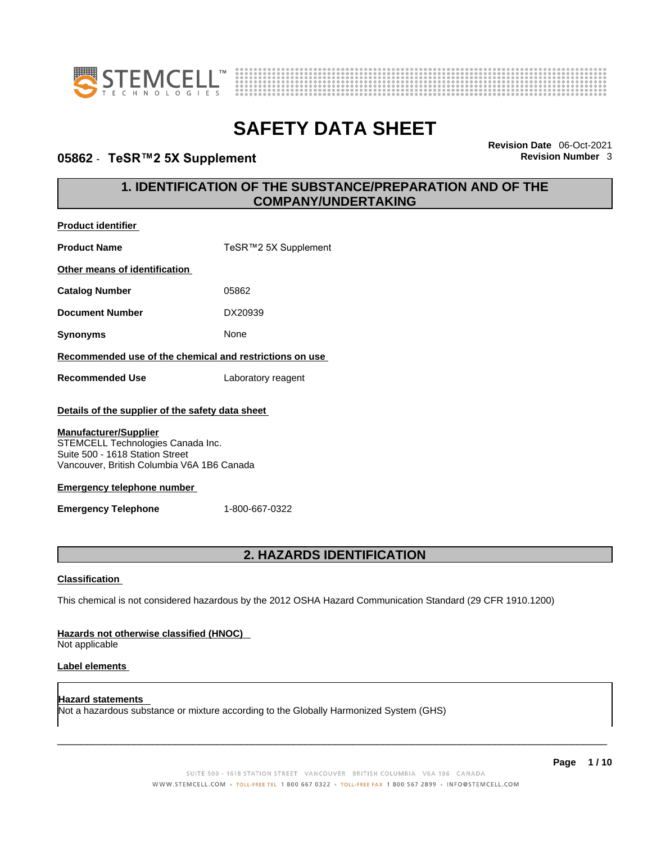



### **05862** - **TeSR™2 5X Supplement Revision Number** 3

**Product identifier**

**Revision Date** 06-Oct-2021

### **1. IDENTIFICATION OF THE SUBSTANCE/PREPARATION AND OF THE COMPANY/UNDERTAKING**

| <b>Product Name</b>                                                                                                                                                                                                                                                       | TeSR™2 5X Supplement                                                                                        |  |
|---------------------------------------------------------------------------------------------------------------------------------------------------------------------------------------------------------------------------------------------------------------------------|-------------------------------------------------------------------------------------------------------------|--|
| Other means of identification                                                                                                                                                                                                                                             |                                                                                                             |  |
| <b>Catalog Number</b>                                                                                                                                                                                                                                                     | 05862                                                                                                       |  |
| <b>Document Number</b>                                                                                                                                                                                                                                                    | DX20939                                                                                                     |  |
| <b>Synonyms</b>                                                                                                                                                                                                                                                           | None                                                                                                        |  |
| Recommended use of the chemical and restrictions on use                                                                                                                                                                                                                   |                                                                                                             |  |
| <b>Recommended Use</b>                                                                                                                                                                                                                                                    | Laboratory reagent                                                                                          |  |
| Details of the supplier of the safety data sheet<br><b>Manufacturer/Supplier</b><br>STEMCELL Technologies Canada Inc.<br>Suite 500 - 1618 Station Street<br>Vancouver, British Columbia V6A 1B6 Canada<br><b>Emergency telephone number</b><br><b>Emergency Telephone</b> | 1-800-667-0322                                                                                              |  |
| 2. HAZARDS IDENTIFICATION                                                                                                                                                                                                                                                 |                                                                                                             |  |
| <b>Classification</b>                                                                                                                                                                                                                                                     |                                                                                                             |  |
|                                                                                                                                                                                                                                                                           | This chemical is not considered hazardous by the 2012 OSHA Hazard Communication Standard (29 CFR 1910.1200) |  |

### **Hazards not otherwise classified (HNOC)**

Not applicable

### **Label elements**

**Hazard statements**  Not a hazardous substance or mixture according to the Globally Harmonized System (GHS)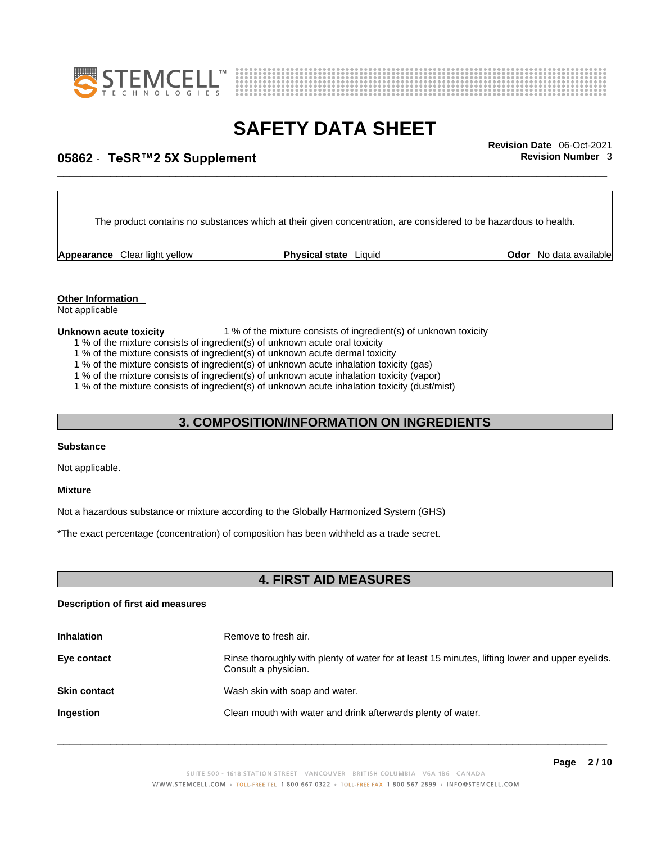



# \_\_\_\_\_\_\_\_\_\_\_\_\_\_\_\_\_\_\_\_\_\_\_\_\_\_\_\_\_\_\_\_\_\_\_\_\_\_\_\_\_\_\_\_\_\_\_\_\_\_\_\_\_\_\_\_\_\_\_\_\_\_\_\_\_\_\_\_\_\_\_\_\_\_\_\_\_\_\_\_\_\_\_\_\_\_\_\_\_\_\_\_\_ **Revision Date** 06-Oct-2021 **05862** - **TeSR™2 5X Supplement Revision Number** 3

The product contains no substances which at their given concentration, are considered to be hazardous to health.

**Appearance** Clear light yellow **Physical state** Liquid

**Odor** No data available

### **Other Information**

Not applicable

#### **Unknown acute toxicity** 1 % of the mixture consists of ingredient(s) of unknown toxicity

- 1 % of the mixture consists of ingredient(s) of unknown acute oral toxicity
- 1 % of the mixture consists of ingredient(s) of unknown acute dermal toxicity
- 1 % of the mixture consists of ingredient(s) of unknown acute inhalation toxicity (gas)
- 1 % of the mixture consists of ingredient(s) of unknown acute inhalation toxicity (vapor)

1 % of the mixture consists of ingredient(s) of unknown acute inhalation toxicity (dust/mist)

### **3. COMPOSITION/INFORMATION ON INGREDIENTS**

### **Substance**

Not applicable.

### **Mixture**

Not a hazardous substance or mixture according to the Globally Harmonized System (GHS)

\*The exact percentage (concentration) of composition has been withheld as a trade secret.

### **4. FIRST AID MEASURES**

### **Description of first aid measures**

| <b>Inhalation</b>   | Remove to fresh air.                                                                                                    |
|---------------------|-------------------------------------------------------------------------------------------------------------------------|
| Eye contact         | Rinse thoroughly with plenty of water for at least 15 minutes, lifting lower and upper eyelids.<br>Consult a physician. |
| <b>Skin contact</b> | Wash skin with soap and water.                                                                                          |
| Ingestion           | Clean mouth with water and drink afterwards plenty of water.                                                            |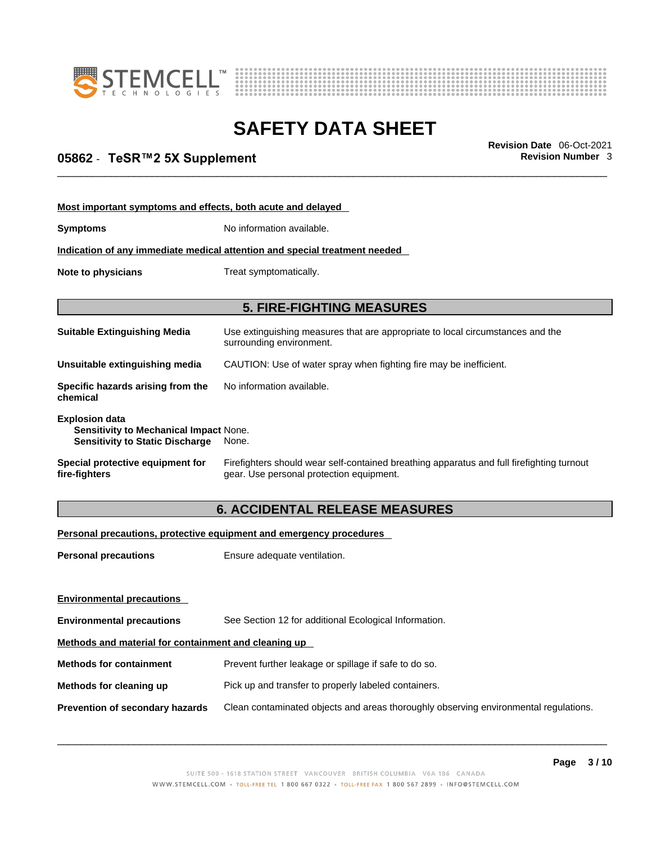



# \_\_\_\_\_\_\_\_\_\_\_\_\_\_\_\_\_\_\_\_\_\_\_\_\_\_\_\_\_\_\_\_\_\_\_\_\_\_\_\_\_\_\_\_\_\_\_\_\_\_\_\_\_\_\_\_\_\_\_\_\_\_\_\_\_\_\_\_\_\_\_\_\_\_\_\_\_\_\_\_\_\_\_\_\_\_\_\_\_\_\_\_\_ **Revision Date** 06-Oct-2021 **05862** - **TeSR™2 5X Supplement Revision Number** 3

| Most important symptoms and effects, both acute and delayed                                                      |                                                                                                                                       |  |
|------------------------------------------------------------------------------------------------------------------|---------------------------------------------------------------------------------------------------------------------------------------|--|
| <b>Symptoms</b>                                                                                                  | No information available.                                                                                                             |  |
|                                                                                                                  | Indication of any immediate medical attention and special treatment needed                                                            |  |
| Note to physicians<br>Treat symptomatically.                                                                     |                                                                                                                                       |  |
|                                                                                                                  |                                                                                                                                       |  |
|                                                                                                                  | <b>5. FIRE-FIGHTING MEASURES</b>                                                                                                      |  |
| <b>Suitable Extinguishing Media</b>                                                                              | Use extinguishing measures that are appropriate to local circumstances and the<br>surrounding environment.                            |  |
| Unsuitable extinguishing media                                                                                   | CAUTION: Use of water spray when fighting fire may be inefficient.                                                                    |  |
| Specific hazards arising from the<br>chemical                                                                    | No information available.                                                                                                             |  |
| <b>Explosion data</b><br><b>Sensitivity to Mechanical Impact None.</b><br><b>Sensitivity to Static Discharge</b> | None.                                                                                                                                 |  |
| Special protective equipment for<br>fire-fighters                                                                | Firefighters should wear self-contained breathing apparatus and full firefighting turnout<br>gear. Use personal protection equipment. |  |

### **6. ACCIDENTAL RELEASE MEASURES**

### **Personal precautions, protective equipment and emergency procedures**

| Ensure adequate ventilation.                                                         |  |  |
|--------------------------------------------------------------------------------------|--|--|
|                                                                                      |  |  |
|                                                                                      |  |  |
| See Section 12 for additional Ecological Information.                                |  |  |
| Methods and material for containment and cleaning up                                 |  |  |
| Prevent further leakage or spillage if safe to do so.                                |  |  |
| Pick up and transfer to properly labeled containers.                                 |  |  |
| Clean contaminated objects and areas thoroughly observing environmental regulations. |  |  |
|                                                                                      |  |  |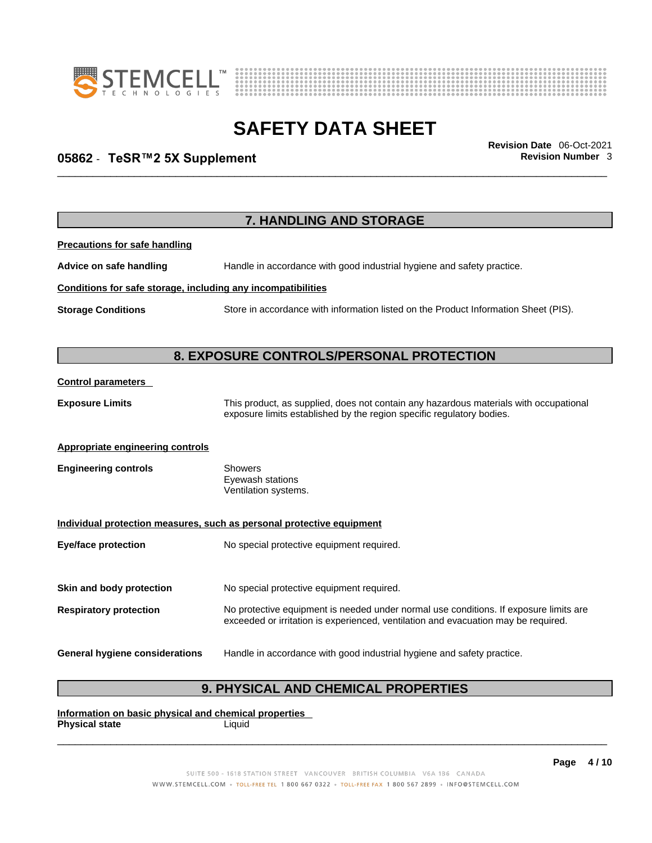



# \_\_\_\_\_\_\_\_\_\_\_\_\_\_\_\_\_\_\_\_\_\_\_\_\_\_\_\_\_\_\_\_\_\_\_\_\_\_\_\_\_\_\_\_\_\_\_\_\_\_\_\_\_\_\_\_\_\_\_\_\_\_\_\_\_\_\_\_\_\_\_\_\_\_\_\_\_\_\_\_\_\_\_\_\_\_\_\_\_\_\_\_\_ **Revision Date** 06-Oct-2021 **05862** - **TeSR™2 5X Supplement Revision Number** 3

|                                                              | 7. HANDLING AND STORAGE                                                                                                                                                     |
|--------------------------------------------------------------|-----------------------------------------------------------------------------------------------------------------------------------------------------------------------------|
| <b>Precautions for safe handling</b>                         |                                                                                                                                                                             |
| Advice on safe handling                                      | Handle in accordance with good industrial hygiene and safety practice.                                                                                                      |
| Conditions for safe storage, including any incompatibilities |                                                                                                                                                                             |
| <b>Storage Conditions</b>                                    | Store in accordance with information listed on the Product Information Sheet (PIS).                                                                                         |
|                                                              | 8. EXPOSURE CONTROLS/PERSONAL PROTECTION                                                                                                                                    |
| <b>Control parameters</b>                                    |                                                                                                                                                                             |
| <b>Exposure Limits</b>                                       | This product, as supplied, does not contain any hazardous materials with occupational<br>exposure limits established by the region specific regulatory bodies.              |
| <b>Appropriate engineering controls</b>                      |                                                                                                                                                                             |
| <b>Engineering controls</b>                                  | <b>Showers</b><br>Eyewash stations<br>Ventilation systems.                                                                                                                  |
|                                                              | Individual protection measures, such as personal protective equipment                                                                                                       |
| <b>Eye/face protection</b>                                   | No special protective equipment required.                                                                                                                                   |
| Skin and body protection                                     | No special protective equipment required.                                                                                                                                   |
| <b>Respiratory protection</b>                                | No protective equipment is needed under normal use conditions. If exposure limits are<br>exceeded or irritation is experienced, ventilation and evacuation may be required. |
| <b>General hygiene considerations</b>                        | Handle in accordance with good industrial hygiene and safety practice.                                                                                                      |

### **9. PHYSICAL AND CHEMICAL PROPERTIES**

**Information on basic physical and chemical properties Physical state** Liquid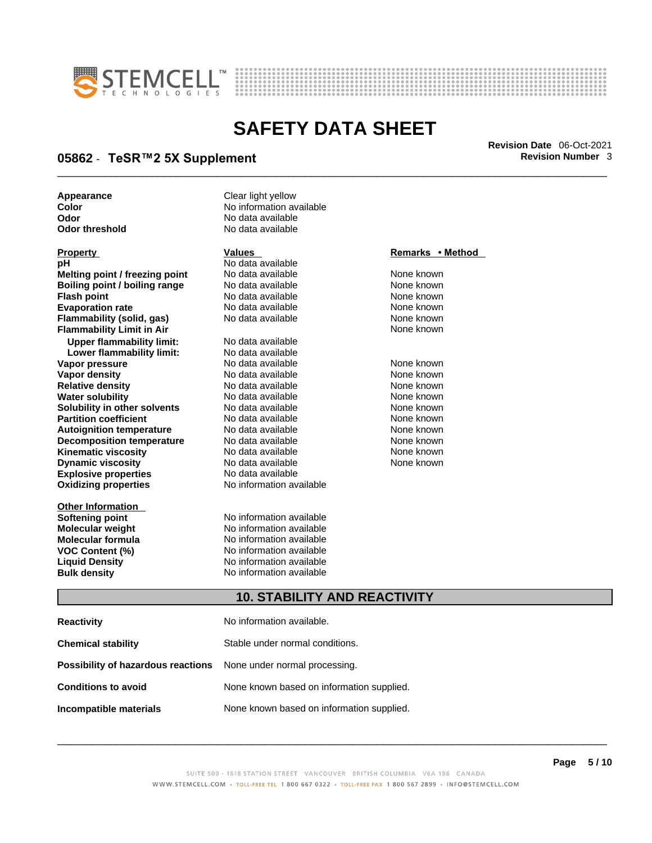



# \_\_\_\_\_\_\_\_\_\_\_\_\_\_\_\_\_\_\_\_\_\_\_\_\_\_\_\_\_\_\_\_\_\_\_\_\_\_\_\_\_\_\_\_\_\_\_\_\_\_\_\_\_\_\_\_\_\_\_\_\_\_\_\_\_\_\_\_\_\_\_\_\_\_\_\_\_\_\_\_\_\_\_\_\_\_\_\_\_\_\_\_\_ **Revision Date** 06-Oct-2021 **05862** - **TeSR™2 5X Supplement Revision Number** 3

**Appearance Clear light yellow** 

**Explosive properties**<br> **Oxidizing properties**<br> **Oxidizing properties**<br> **No information available Oxidizing properties Property CONSCRUTE ACCORDING METHOD Values and METHOD Remarks • Method pH** No data available<br> **Melting point / freezing point** No data available **Melting point / freezing point** No data available None known<br> **Rojling point / bojling range** No data available None Known **Boiling point / boiling range** No data available **None known**<br>
No data available **None known**<br>
No data available **None known Evaporation rate Cone Cone Access Mone Cone Cone Cone Access Provident Cone Cone Access Provident Cone known<br>
<b>Flammability (solid. gas)** No data available Cone Cone Known **Flammability (solid, gas)** No data available None known **Flammability Limit in Air None known None known Upper flammability limit:** No data available **Lower flammability limit:** No data available **Vapor pressure** 1980 in the Modata available 1980 in the Known None known<br> **Vapor density** 1980 in the None Known None known None known **Vapor density** No data available None known **Relative density Water solubility** No data available None known **Solubility in other solvents** No data available None known **Partition coefficient**<br> **Autoignition temperature**<br>
No data available None None known<br>
None known **Autoignition temperature** Mo data available Mone known<br> **Decomposition temperature** No data available None known **Decomposition temperature** No data available<br> **Kinematic viscosity** No data available **Kinematic viscosity No data available None known**<br> **Discussible No data available None known**<br>
None known **Dynamic viscosity No data available None known** 

**Other Information** 

**Color Color Color Color Color Color Color Color Color Color Color Color Color Color Color Color Color Color Color Color Color Color Color Color Color Color Color Color Odor No data available**<br> **Odor threshold No data available** No data available

**No data available** 

**Softening point**<br> **Molecular weight**<br> **Molecular weight**<br> **Molecular weight**<br> **Molecular weight No information available Molecular formula** No information available **VOC Content (%)**<br> **Content (%)**<br>
No information available<br>
No information available **No information available Bulk density No information available** 

### **10. STABILITY AND REACTIVITY**

| <b>Reactivity</b>                                                       | No information available.                 |
|-------------------------------------------------------------------------|-------------------------------------------|
| <b>Chemical stability</b>                                               | Stable under normal conditions.           |
| <b>Possibility of hazardous reactions</b> None under normal processing. |                                           |
| <b>Conditions to avoid</b>                                              | None known based on information supplied. |
| Incompatible materials                                                  | None known based on information supplied. |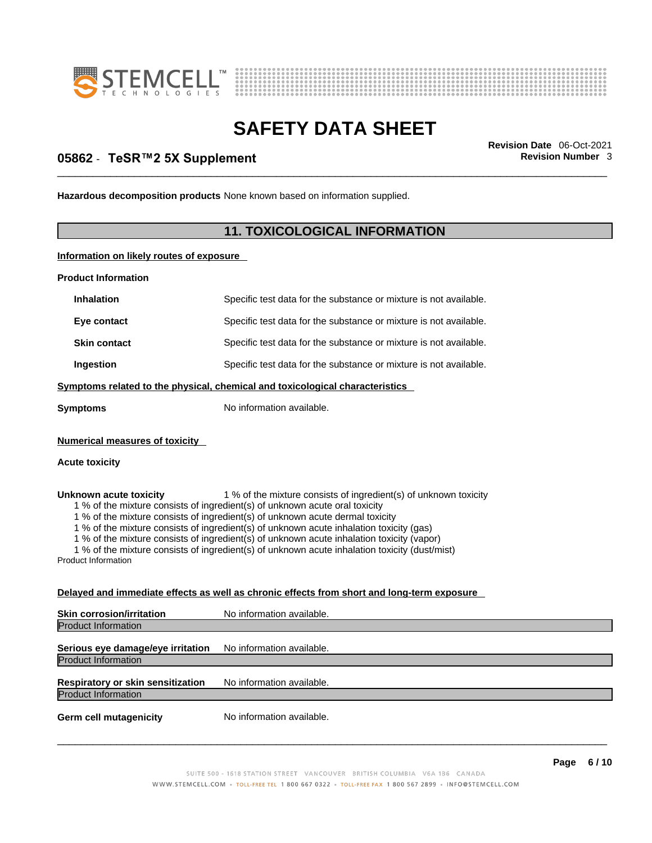



# \_\_\_\_\_\_\_\_\_\_\_\_\_\_\_\_\_\_\_\_\_\_\_\_\_\_\_\_\_\_\_\_\_\_\_\_\_\_\_\_\_\_\_\_\_\_\_\_\_\_\_\_\_\_\_\_\_\_\_\_\_\_\_\_\_\_\_\_\_\_\_\_\_\_\_\_\_\_\_\_\_\_\_\_\_\_\_\_\_\_\_\_\_ **Revision Date** 06-Oct-2021 **05862** - **TeSR™2 5X Supplement Revision Number** 3

**Hazardous decomposition products** None known based on information supplied.

### **11. TOXICOLOGICAL INFORMATION**

**Information on likely routes of exposure**

**Product Information**

| <b>Inhalation</b>                     | Specific test data for the substance or mixture is not available.            |  |
|---------------------------------------|------------------------------------------------------------------------------|--|
| Eye contact                           | Specific test data for the substance or mixture is not available.            |  |
| <b>Skin contact</b>                   | Specific test data for the substance or mixture is not available.            |  |
| Ingestion                             | Specific test data for the substance or mixture is not available.            |  |
|                                       | Symptoms related to the physical, chemical and toxicological characteristics |  |
| <b>Symptoms</b>                       | No information available.                                                    |  |
| <b>Numerical measures of toxicity</b> |                                                                              |  |
| <b>Acute toxicity</b>                 |                                                                              |  |

**Unknown acute toxicity** 1 % of the mixture consists of ingredient(s) of unknown toxicity

1 % of the mixture consists of ingredient(s) of unknown acute oral toxicity

1 % of the mixture consists of ingredient(s) of unknown acute dermal toxicity

1 % of the mixture consists of ingredient(s) of unknown acute inhalation toxicity (gas)

1 % of the mixture consists of ingredient(s) of unknown acute inhalation toxicity (vapor)

1 % of the mixture consists of ingredient(s) of unknown acute inhalation toxicity (dust/mist)

Product Information

### **Delayed and immediate effects as well as chronic effects from short and long-term exposure**

| <b>Skin corrosion/irritation</b>  | No information available. |  |
|-----------------------------------|---------------------------|--|
| <b>Product Information</b>        |                           |  |
| Serious eye damage/eye irritation | No information available. |  |
| <b>Product Information</b>        |                           |  |
| Respiratory or skin sensitization | No information available. |  |
| <b>Product Information</b>        |                           |  |
| <b>Germ cell mutagenicity</b>     | No information available. |  |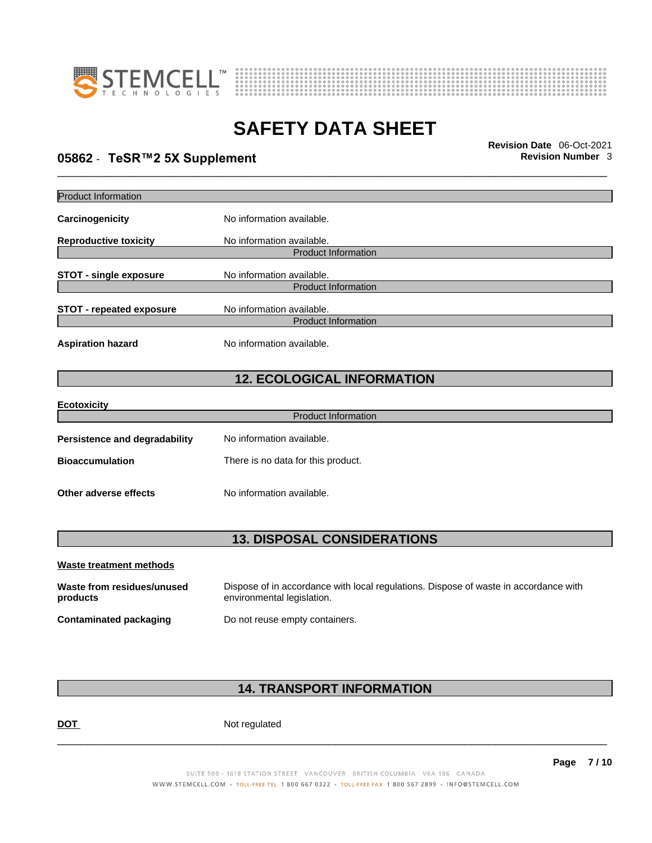



# \_\_\_\_\_\_\_\_\_\_\_\_\_\_\_\_\_\_\_\_\_\_\_\_\_\_\_\_\_\_\_\_\_\_\_\_\_\_\_\_\_\_\_\_\_\_\_\_\_\_\_\_\_\_\_\_\_\_\_\_\_\_\_\_\_\_\_\_\_\_\_\_\_\_\_\_\_\_\_\_\_\_\_\_\_\_\_\_\_\_\_\_\_ **Revision Date** 06-Oct-2021 **05862** - **TeSR™2 5X Supplement Revision Number** 3

| <b>Product Information</b>           |                                    |  |  |
|--------------------------------------|------------------------------------|--|--|
| Carcinogenicity                      | No information available.          |  |  |
| <b>Reproductive toxicity</b>         | No information available.          |  |  |
|                                      | <b>Product Information</b>         |  |  |
| <b>STOT - single exposure</b>        | No information available.          |  |  |
|                                      | <b>Product Information</b>         |  |  |
| <b>STOT - repeated exposure</b>      | No information available.          |  |  |
|                                      | <b>Product Information</b>         |  |  |
| <b>Aspiration hazard</b>             | No information available.          |  |  |
| <b>12. ECOLOGICAL INFORMATION</b>    |                                    |  |  |
| <b>Ecotoxicity</b>                   |                                    |  |  |
|                                      | <b>Product Information</b>         |  |  |
| <b>Persistence and degradability</b> | No information available.          |  |  |
| <b>Bioaccumulation</b>               | There is no data for this product. |  |  |
| Other adverse effects                | No information available.          |  |  |
|                                      |                                    |  |  |
|                                      | <b>13. DISPOSAL CONSIDERATIONS</b> |  |  |
| <b>Waste treatment methods</b>       |                                    |  |  |

| Waste from residues/unused | Dispose of in accordance with local regulations. Dispose of waste in accordance with |
|----------------------------|--------------------------------------------------------------------------------------|
| products                   | environmental legislation.                                                           |
| Contaminated packaging     | Do not reuse empty containers.                                                       |

### **14. TRANSPORT INFORMATION**

DOT Not regulated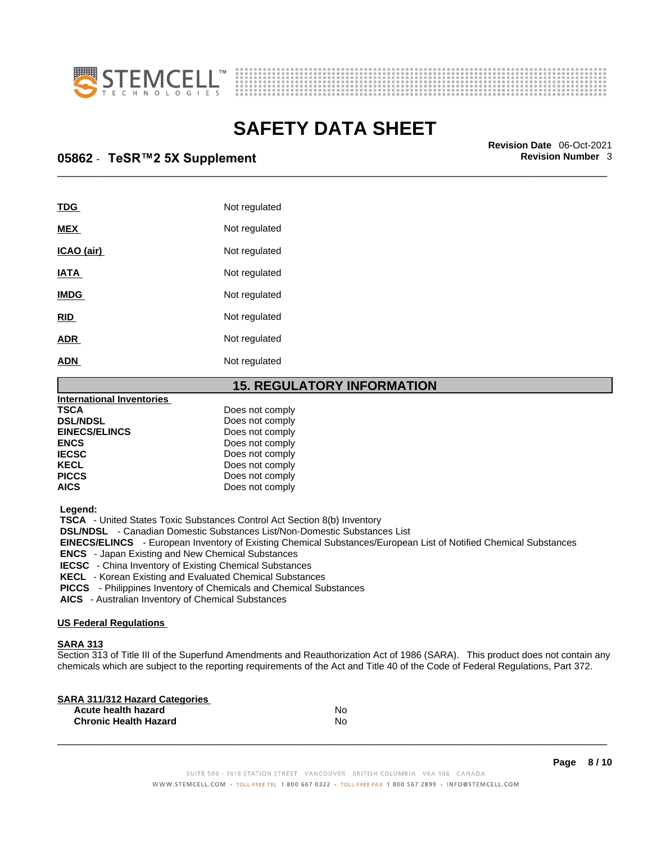



\_\_\_\_\_\_\_\_\_\_\_\_\_\_\_\_\_\_\_\_\_\_\_\_\_\_\_\_\_\_\_\_\_\_\_\_\_\_\_\_\_\_\_\_\_\_\_\_\_\_\_\_\_\_\_\_\_\_\_\_\_\_\_\_\_\_\_\_\_\_\_\_\_\_\_\_\_\_\_\_\_\_\_\_\_\_\_\_\_\_\_\_\_ **Revision Date** 06-Oct-2021 **05862** - **TeSR™2 5X Supplement Revision Number** 3

| <b>TDG</b>        | Not regulated |
|-------------------|---------------|
| <b>MEX</b>        | Not regulated |
| <u>ICAO (air)</u> | Not regulated |
| <b>IATA</b>       | Not regulated |
| <b>IMDG</b>       | Not regulated |
| <b>RID</b>        | Not regulated |
| <b>ADR</b>        | Not regulated |
| <b>ADN</b>        | Not regulated |

### **15. REGULATORY INFORMATION**

| <b>International Inventories</b> |                 |  |
|----------------------------------|-----------------|--|
| <b>TSCA</b>                      | Does not comply |  |
| <b>DSL/NDSL</b>                  | Does not comply |  |
| <b>EINECS/ELINCS</b>             | Does not comply |  |
| <b>ENCS</b>                      | Does not comply |  |
| <b>IECSC</b>                     | Does not comply |  |
| <b>KECL</b>                      | Does not comply |  |
| <b>PICCS</b>                     | Does not comply |  |
| <b>AICS</b>                      | Does not comply |  |
|                                  |                 |  |

 **Legend:** 

 **TSCA** - United States Toxic Substances Control Act Section 8(b) Inventory

 **DSL/NDSL** - Canadian Domestic Substances List/Non-Domestic Substances List

 **EINECS/ELINCS** - European Inventory of Existing Chemical Substances/European List of Notified Chemical Substances

 **ENCS** - Japan Existing and New Chemical Substances

 **IECSC** - China Inventory of Existing Chemical Substances

 **KECL** - Korean Existing and Evaluated Chemical Substances

 **PICCS** - Philippines Inventory of Chemicals and Chemical Substances

 **AICS** - Australian Inventory of Chemical Substances

### **US Federal Regulations**

### **SARA 313**

Section 313 of Title III of the Superfund Amendments and Reauthorization Act of 1986 (SARA). This product does not contain any chemicals which are subject to the reporting requirements of the Act and Title 40 of the Code of Federal Regulations, Part 372.

| No |  |
|----|--|
| No |  |
|    |  |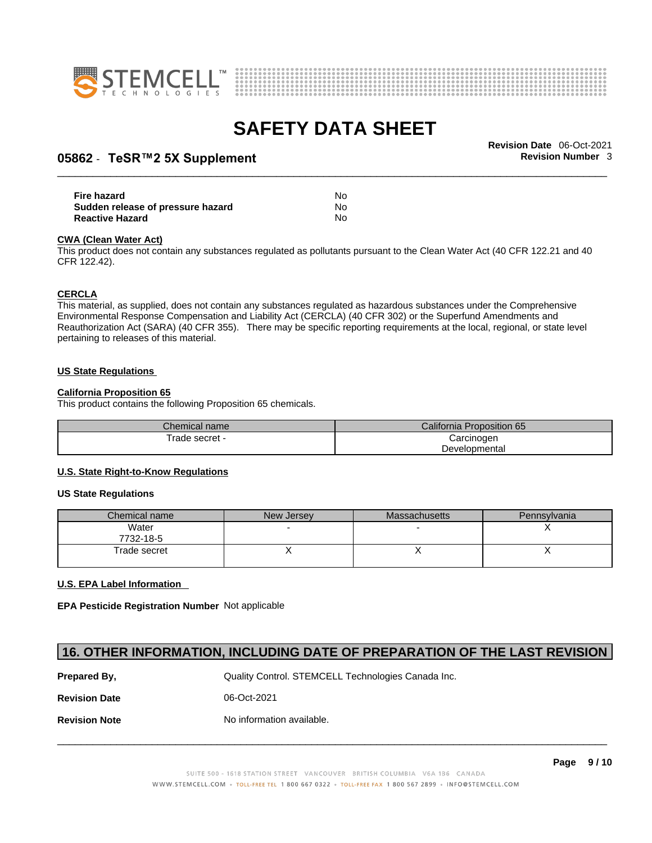



# \_\_\_\_\_\_\_\_\_\_\_\_\_\_\_\_\_\_\_\_\_\_\_\_\_\_\_\_\_\_\_\_\_\_\_\_\_\_\_\_\_\_\_\_\_\_\_\_\_\_\_\_\_\_\_\_\_\_\_\_\_\_\_\_\_\_\_\_\_\_\_\_\_\_\_\_\_\_\_\_\_\_\_\_\_\_\_\_\_\_\_\_\_ **Revision Date** 06-Oct-2021 **05862** - **TeSR™2 5X Supplement Revision Number** 3

| Fire hazard                       | No |  |
|-----------------------------------|----|--|
| Sudden release of pressure hazard | Nο |  |
| <b>Reactive Hazard</b>            | No |  |

#### **CWA** (Clean Water Act)

This product does not contain any substances regulated as pollutants pursuant to the Clean Water Act (40 CFR 122.21 and 40 CFR 122.42).

#### **CERCLA**

This material, as supplied, does not contain any substances regulated as hazardous substances under the Comprehensive Environmental Response Compensation and Liability Act (CERCLA) (40 CFR 302) or the Superfund Amendments and Reauthorization Act (SARA) (40 CFR 355). There may be specific reporting requirements at the local, regional, or state level pertaining to releases of this material.

#### **US State Regulations**

### **California Proposition 65**

This product contains the following Proposition 65 chemicals.

| Chemical name  | Proposition 65<br>California F |  |
|----------------|--------------------------------|--|
| Trade secret - | Carcinogen                     |  |
|                | Developmental                  |  |

### **U.S. State Right-to-Know Regulations**

#### **US State Regulations**

| Chemical name      | New Jersey | <b>Massachusetts</b> | Pennsylvania |
|--------------------|------------|----------------------|--------------|
| Water<br>7732-18-5 |            |                      |              |
| Trade secret       |            |                      |              |

### **U.S. EPA Label Information**

**EPA Pesticide Registration Number** Not applicable

### **16. OTHER INFORMATION, INCLUDING DATE OF PREPARATION OF THE LAST REVISION**

**Prepared By, State Control. STEMCELL Technologies Canada Inc.** Canada Inc. **Revision Date** 06-Oct-2021 **Revision Note** Noinformation available.